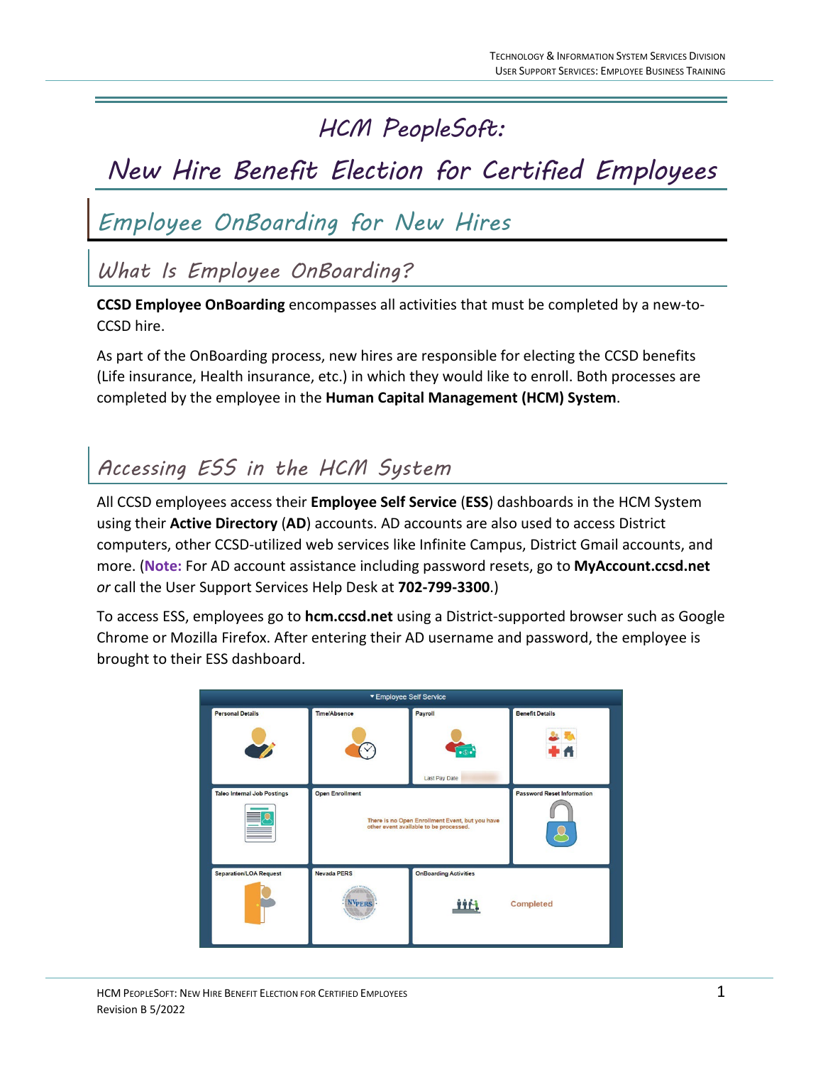### *HCM PeopleSoft:*

# *New Hire Benefit Election for Certified Employees*

## *Employee OnBoarding for New Hires*

*What Is Employee OnBoarding?*

**CCSD Employee OnBoarding** encompasses all activities that must be completed by a new-to-CCSD hire.

As part of the OnBoarding process, new hires are responsible for electing the CCSD benefits (Life insurance, Health insurance, etc.) in which they would like to enroll. Both processes are completed by the employee in the **Human Capital Management (HCM) System**.

### *Accessing ESS in the HCM System*

All CCSD employees access their **Employee Self Service** (**ESS**) dashboards in the HCM System using their **Active Directory** (**AD**) accounts. AD accounts are also used to access District computers, other CCSD-utilized web services like Infinite Campus, District Gmail accounts, and more. (**Note:** For AD account assistance including password resets, go to **MyAccount.ccsd.net**  *or* call the User Support Services Help Desk at **702-799-3300**.)

To access ESS, employees go to **hcm.ccsd.net** using a District-supported browser such as Google Chrome or Mozilla Firefox. After entering their AD username and password, the employee is brought to their ESS dashboard.

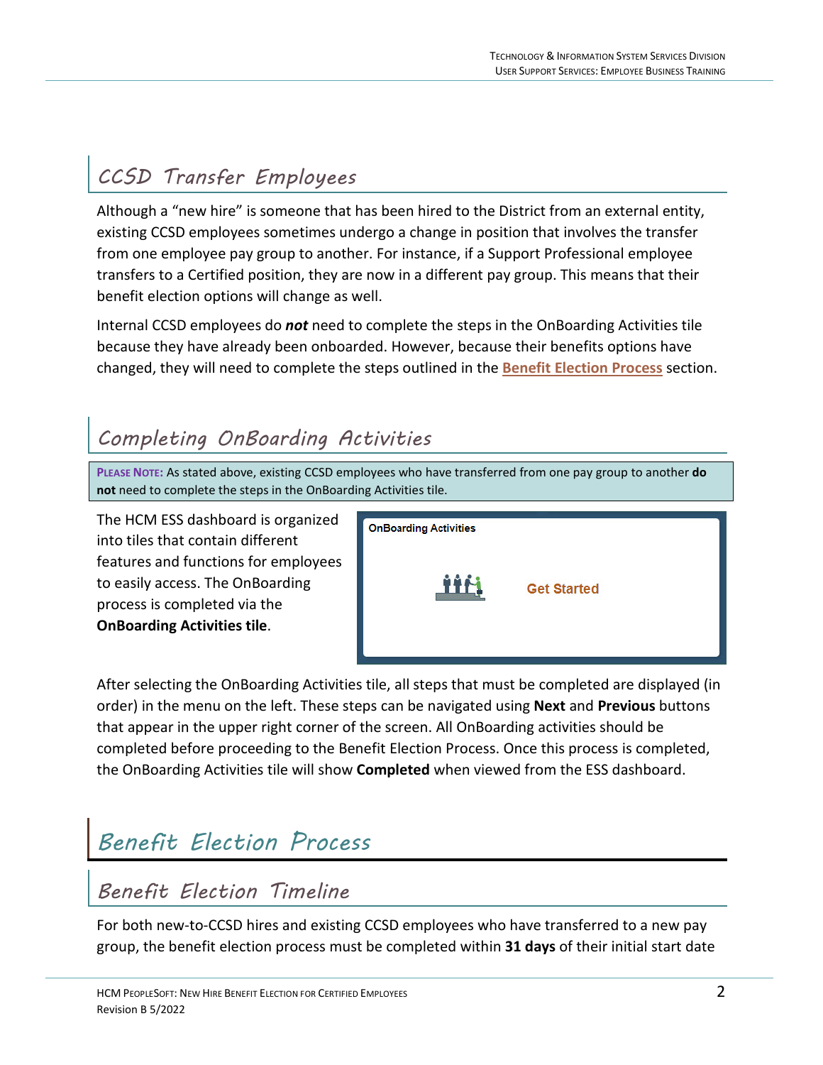## *CCSD Transfer Employees*

Although a "new hire" is someone that has been hired to the District from an external entity, existing CCSD employees sometimes undergo a change in position that involves the transfer from one employee pay group to another. For instance, if a Support Professional employee transfers to a Certified position, they are now in a different pay group. This means that their benefit election options will change as well.

Internal CCSD employees do *not* need to complete the steps in the OnBoarding Activities tile because they have already been onboarded. However, because their benefits options have changed, they will need to complete the steps outlined in the **[Benefit Election Process](#page-1-0)** section.

#### *Completing OnBoarding Activities*

**PLEASE NOTE:** As stated above, existing CCSD employees who have transferred from one pay group to another **do not** need to complete the steps in the OnBoarding Activities tile.

The HCM ESS dashboard is organized into tiles that contain different features and functions for employees to easily access. The OnBoarding process is completed via the **OnBoarding Activities tile**.



After selecting the OnBoarding Activities tile, all steps that must be completed are displayed (in order) in the menu on the left. These steps can be navigated using **Next** and **Previous** buttons that appear in the upper right corner of the screen. All OnBoarding activities should be completed before proceeding to the Benefit Election Process. Once this process is completed, the OnBoarding Activities tile will show **Completed** when viewed from the ESS dashboard.

# <span id="page-1-0"></span>*Benefit Election Process*

#### *Benefit Election Timeline*

For both new-to-CCSD hires and existing CCSD employees who have transferred to a new pay group, the benefit election process must be completed within **31 days** of their initial start date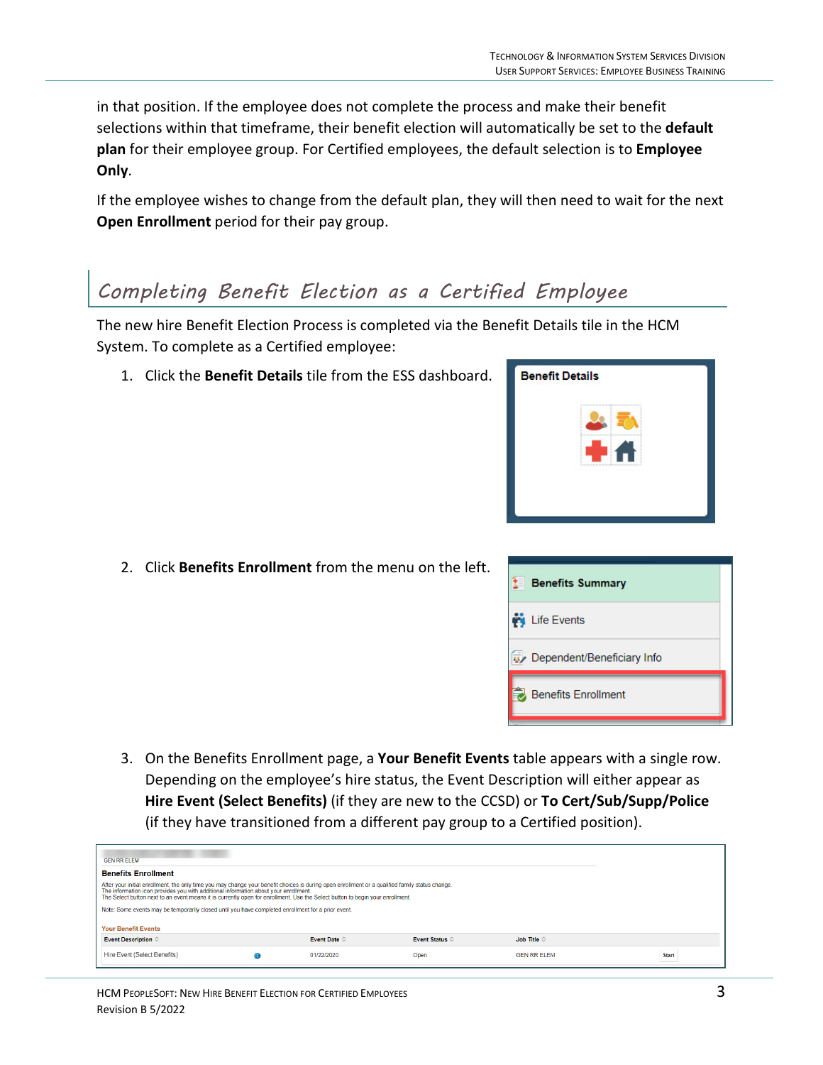in that position. If the employee does not complete the process and make their benefit selections within that timeframe, their benefit election will automatically be set to the **default plan** for their employee group. For Certified employees, the default selection is to **Employee Only**.

If the employee wishes to change from the default plan, they will then need to wait for the next **Open Enrollment** period for their pay group.

#### *Completing Benefit Election as a Certified Employee*

The new hire Benefit Election Process is completed via the Benefit Details tile in the HCM System. To complete as a Certified employee:

1. Click the **Benefit Details** tile from the ESS dashboard.



2. Click **Benefits Enrollment** from the menu on the left.



3. On the Benefits Enrollment page, a **Your Benefit Events** table appears with a single row. Depending on the employee's hire status, the Event Description will either appear as **Hire Event (Select Benefits)** (if they are new to the CCSD) or **To Cert/Sub/Supp/Police** (if they have transitioned from a different pay group to a Certified position).

| <b>GEN RR ELEM</b>                                                                                                                                                                                                                                                                                                                                                                                                                                                             |                                                          |  |  |  |  |  |  |  |
|--------------------------------------------------------------------------------------------------------------------------------------------------------------------------------------------------------------------------------------------------------------------------------------------------------------------------------------------------------------------------------------------------------------------------------------------------------------------------------|----------------------------------------------------------|--|--|--|--|--|--|--|
| <b>Benefits Enrollment</b>                                                                                                                                                                                                                                                                                                                                                                                                                                                     |                                                          |  |  |  |  |  |  |  |
| After your initial enrollment, the only time you may change your benefit choices is during open enrollment or a qualified family status change.<br>The information icon provides you with additional information about your enrollment.<br>The Select button next to an event means it is currently open for enrollment. Use the Select button to begin your enrollment.<br>Note: Some events may be temporarily closed until you have completed enrollment for a prior event. |                                                          |  |  |  |  |  |  |  |
| <b>Your Benefit Events</b>                                                                                                                                                                                                                                                                                                                                                                                                                                                     |                                                          |  |  |  |  |  |  |  |
| Event Date $\Diamond$<br>Event Description $\Diamond$<br>Event Status 0<br>Job Title $\Diamond$                                                                                                                                                                                                                                                                                                                                                                                |                                                          |  |  |  |  |  |  |  |
| Hire Event (Select Benefits)                                                                                                                                                                                                                                                                                                                                                                                                                                                   | 01/22/2020<br><b>GEN RR ELEM</b><br>Open<br><b>Start</b> |  |  |  |  |  |  |  |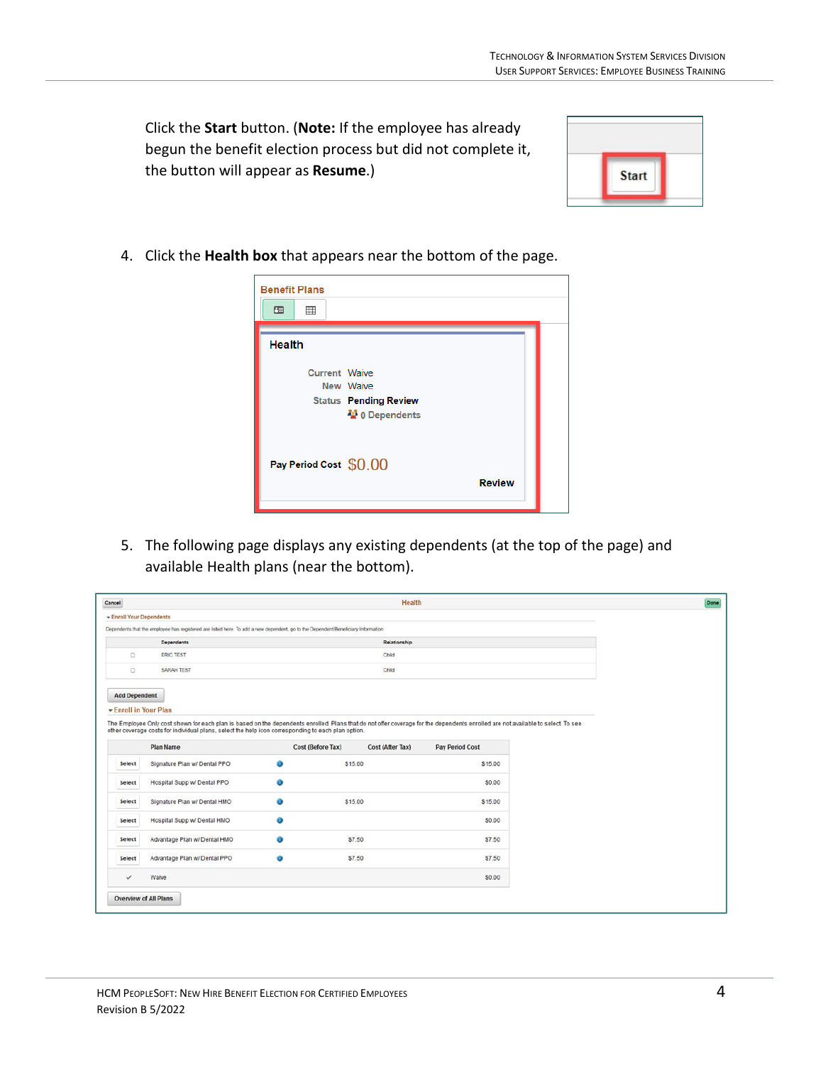Click the **Start** button. (**Note:** If the employee has already begun the benefit election process but did not complete it, the button will appear as **Resume**.)



4. Click the **Health box** that appears near the bottom of the page.

| <b>Benefit Plans</b>   |                                           |               |  |
|------------------------|-------------------------------------------|---------------|--|
| 围<br>冊                 |                                           |               |  |
| <b>Health</b>          |                                           |               |  |
| Current Waive          |                                           |               |  |
|                        | New Waive<br><b>Status Pending Review</b> |               |  |
|                        | 48 0 Dependents                           |               |  |
| Pay Period Cost \$0.00 |                                           |               |  |
|                        |                                           | <b>Review</b> |  |
|                        |                                           |               |  |

5. The following page displays any existing dependents (at the top of the page) and available Health plans (near the bottom).

|                               |                                                                                                                                                                                                                                                                                        |           |                   | <b>Health</b>    |                        |  |
|-------------------------------|----------------------------------------------------------------------------------------------------------------------------------------------------------------------------------------------------------------------------------------------------------------------------------------|-----------|-------------------|------------------|------------------------|--|
| <b>Enroll Your Dependents</b> |                                                                                                                                                                                                                                                                                        |           |                   |                  |                        |  |
|                               | Dependents that the employee has registered are listed here. To add a new dependent, go to the Dependent/Beneficiary Information.                                                                                                                                                      |           |                   |                  |                        |  |
|                               | Dependents                                                                                                                                                                                                                                                                             |           |                   | Relationship     |                        |  |
| O                             | ERIC TEST                                                                                                                                                                                                                                                                              |           |                   | Child            |                        |  |
| $\Box$                        | SARAH TEST                                                                                                                                                                                                                                                                             |           |                   | Child            |                        |  |
|                               |                                                                                                                                                                                                                                                                                        |           |                   |                  |                        |  |
| <b>Add Dependent</b>          |                                                                                                                                                                                                                                                                                        |           |                   |                  |                        |  |
| <b>Enroll in Your Plan</b>    |                                                                                                                                                                                                                                                                                        |           |                   |                  |                        |  |
|                               | The Employee Only cost shown for each plan is based on the dependents enrolled. Plans that do not offer coverage for the dependents enrolled are not available to select. To see<br>other coverage costs for individual plans, select the help icon corresponding to each plan option. |           |                   |                  |                        |  |
|                               |                                                                                                                                                                                                                                                                                        |           |                   |                  |                        |  |
|                               | <b>Plan Name</b>                                                                                                                                                                                                                                                                       |           | Cost (Before Tax) | Cost (After Tax) | <b>Pay Period Cost</b> |  |
|                               | Signature Plan w/ Dental PPO                                                                                                                                                                                                                                                           | $\bullet$ | \$15.00           |                  | \$15.00                |  |
| Select                        |                                                                                                                                                                                                                                                                                        |           |                   |                  |                        |  |
| Select                        | Hospital Supp w/ Dental PPO                                                                                                                                                                                                                                                            | o         |                   |                  | \$0.00                 |  |
| Select                        | Signature Plan w/ Dental HMO                                                                                                                                                                                                                                                           | o         | \$15.00           |                  | \$15.00                |  |
| Select                        | Hospital Supp w/ Dental HMO                                                                                                                                                                                                                                                            | $\bf{o}$  |                   |                  | \$0.00                 |  |
| Select                        | Advantage Plan w/ Dental HMO                                                                                                                                                                                                                                                           | o         | \$7.50            |                  | \$7.50                 |  |
| Select                        | Advantage Plan w/ Dental PPO                                                                                                                                                                                                                                                           | O         | \$7.50            |                  | \$7.50                 |  |
| $\checkmark$                  | Waive                                                                                                                                                                                                                                                                                  |           |                   |                  | \$0.00                 |  |
|                               |                                                                                                                                                                                                                                                                                        |           |                   |                  |                        |  |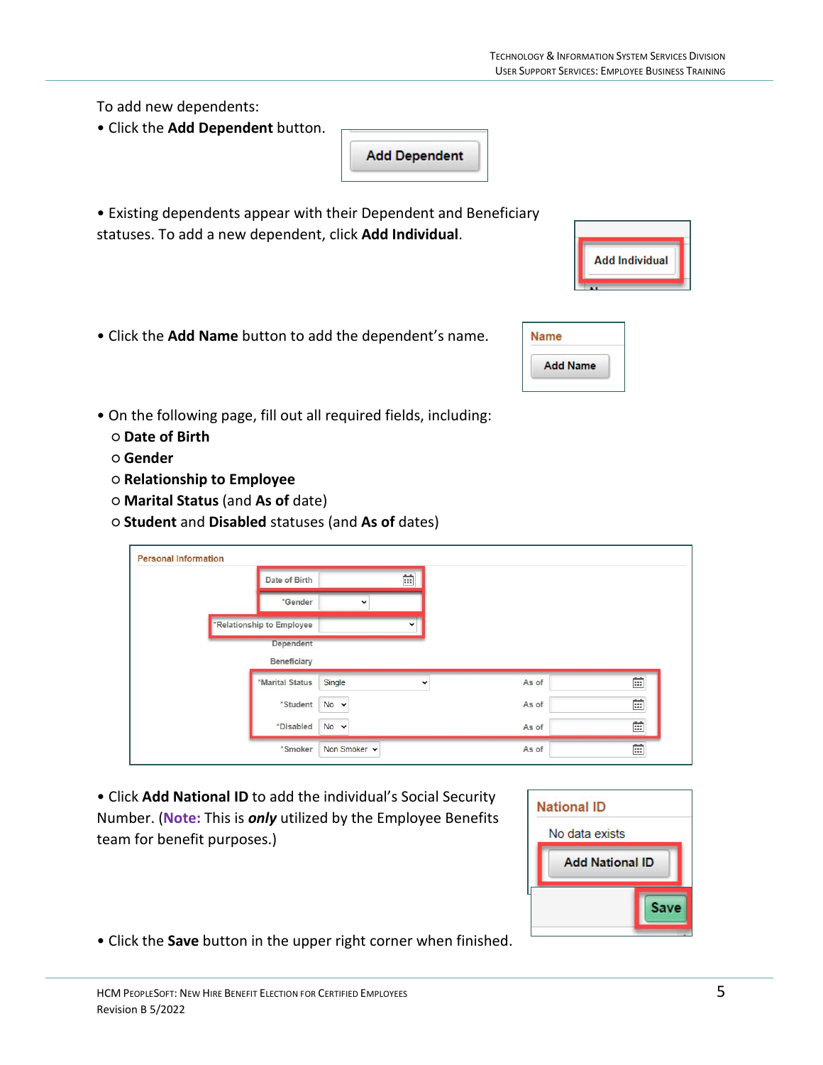To add new dependents:

- Click the **Add Dependent** button.
- Existing dependents appear with their Dependent and Beneficiary statuses. To add a new dependent, click **Add Individual**.

**Add Dependent** 

- Click the **Add Name** button to add the dependent's name.
- On the following page, fill out all required fields, including:
	- **Date of Birth**
	- **Gender**
	- **Relationship to Employee**
	- **Marital Status** (and **As of** date)
	- **Student** and **Disabled** statuses (and **As of** dates)

| Date of Birth             | Ħ                      |       |              |
|---------------------------|------------------------|-------|--------------|
| *Gender                   | $\checkmark$           |       |              |
| *Relationship to Employee | $\checkmark$           |       |              |
| Dependent                 |                        |       |              |
| Beneficiary               |                        |       |              |
|                           |                        |       |              |
| *Marital Status           | Single<br>$\checkmark$ | As of | Ħ            |
| *Student                  | $No \sim$              | As of | Ē            |
| *Disabled                 | $No \sim$              | As of | $\mathbb{R}$ |

• Click **Add National ID** to add the individual's Social Security Number. (**Note:** This is *only* utilized by the Employee Benefits team for benefit purposes.)



• Click the **Save** button in the upper right corner when finished.



| lame |                 |  |
|------|-----------------|--|
|      | <b>Add Name</b> |  |
|      |                 |  |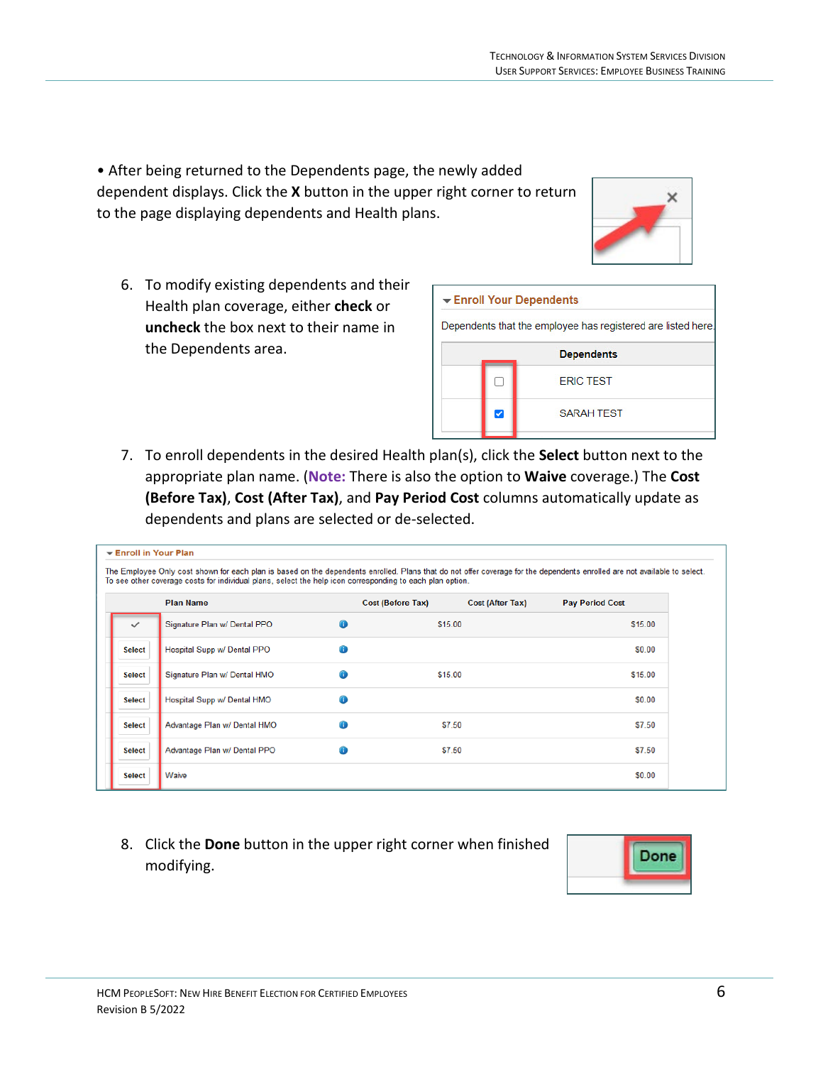• After being returned to the Dependents page, the newly added dependent displays. Click the **X** button in the upper right corner to return to the page displaying dependents and Health plans.

- 6. To modify existing dependents and their Health plan coverage, either **check** or **uncheck** the box next to their name in the Dependents area.
- 7. To enroll dependents in the desired Health plan(s), click the **Select** button next to the appropriate plan name. (**Note:** There is also the option to **Waive** coverage.) The **Cost (Before Tax)**, **Cost (After Tax)**, and **Pay Period Cost** columns automatically update as dependents and plans are selected or de-selected.

Enroll Your Dependents

 $\overline{\mathscr{S}}$ 

Dependents that the employee has registered are listed here.

**Dependents ERIC TEST** 

**SARAH TEST** 

| $\blacktriangleright$ Enroll in Your Plan |                                                                                                           |   |                                                                                                                                                                           |                        |
|-------------------------------------------|-----------------------------------------------------------------------------------------------------------|---|---------------------------------------------------------------------------------------------------------------------------------------------------------------------------|------------------------|
|                                           | To see other coverage costs for individual plans, select the help icon corresponding to each plan option. |   | The Employee Only cost shown for each plan is based on the dependents enrolled. Plans that do not offer coverage for the dependents enrolled are not available to select. |                        |
|                                           | <b>Plan Name</b>                                                                                          |   | <b>Cost (Before Tax)</b><br><b>Cost (After Tax)</b>                                                                                                                       | <b>Pay Period Cost</b> |
| $\checkmark$                              | Signature Plan w/ Dental PPO                                                                              | A | \$15.00                                                                                                                                                                   | \$15.00                |
| <b>Select</b>                             | Hospital Supp w/ Dental PPO                                                                               | ø |                                                                                                                                                                           | \$0.00                 |
| <b>Select</b>                             | Signature Plan w/ Dental HMO                                                                              | A | \$15.00                                                                                                                                                                   | \$15.00                |
| <b>Select</b>                             | Hospital Supp w/ Dental HMO                                                                               | ⊕ |                                                                                                                                                                           | <b>SO.00</b>           |
| <b>Select</b>                             | Advantage Plan w/ Dental HMO                                                                              | A | \$7.50                                                                                                                                                                    | <b>S7.50</b>           |
| <b>Select</b>                             | Advantage Plan w/ Dental PPO                                                                              | Œ | \$7.50                                                                                                                                                                    | S7.50                  |
| <b>Select</b>                             | Waive                                                                                                     |   |                                                                                                                                                                           | <b>SO.00</b>           |

8. Click the **Done** button in the upper right corner when finished modifying.